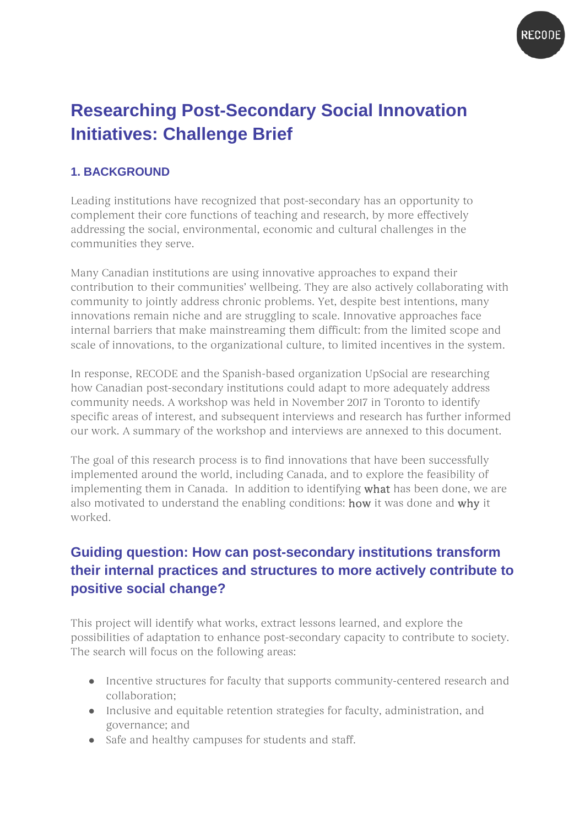

# **Researching Post-Secondary Social Innovation Initiatives: Challenge Brief**

### **1. BACKGROUND**

Leading institutions have recognized that post-secondary has an opportunity to complement their core functions of teaching and research, by more effectively addressing the social, environmental, economic and cultural challenges in the communities they serve.

Many Canadian institutions are using innovative approaches to expand their contribution to their communities' wellbeing. They are also actively collaborating with community to jointly address chronic problems. Yet, despite best intentions, many innovations remain niche and are struggling to scale. Innovative approaches face internal barriers that make mainstreaming them difficult: from the limited scope and scale of innovations, to the organizational culture, to limited incentives in the system.

In response, RECODE and the Spanish-based organization UpSocial are researching how Canadian post-secondary institutions could adapt to more adequately address community needs. A workshop was held in November 2017 in Toronto to identify specific areas of interest, and subsequent interviews and research has further informed our work. A summary of the workshop and interviews are annexed to this document.

The goal of this research process is to find innovations that have been successfully implemented around the world, including Canada, and to explore the feasibility of implementing them in Canada. In addition to identifying what has been done, we are also motivated to understand the enabling conditions: how it was done and why it worked.

## **Guiding question: How can post-secondary institutions transform their internal practices and structures to more actively contribute to positive social change?**

This project will identify what works, extract lessons learned, and explore the possibilities of adaptation to enhance post-secondary capacity to contribute to society. The search will focus on the following areas:

- Incentive structures for faculty that supports community-centered research and collaboration;
- Inclusive and equitable retention strategies for faculty, administration, and governance; and
- Safe and healthy campuses for students and staff.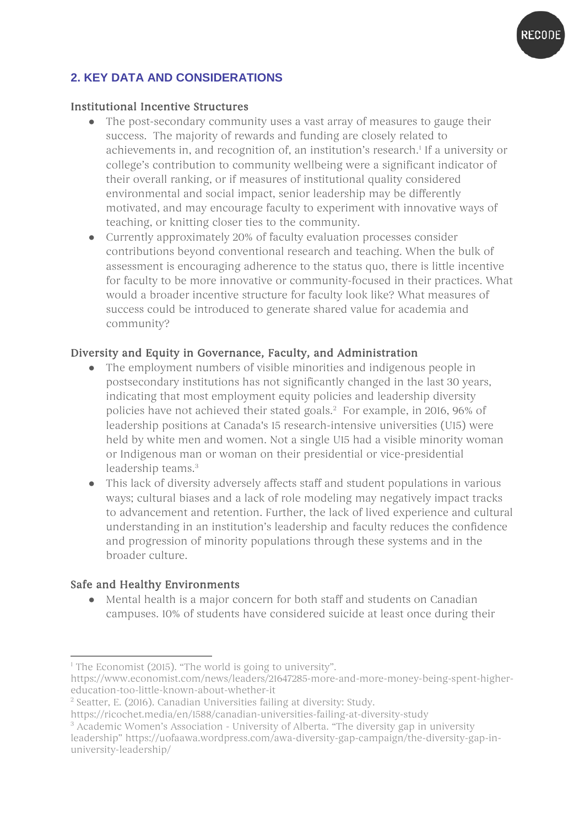

### **2. KEY DATA AND CONSIDERATIONS**

#### Institutional Incentive Structures

- The post-secondary community uses a vast array of measures to gauge their success. The majority of rewards and funding are closely related to achievements in, and recognition of, an institution's research.<sup>[1](#page-1-0)</sup> If a university or college's contribution to community wellbeing were a significant indicator of their overall ranking, or if measures of institutional quality considered environmental and social impact, senior leadership may be differently motivated, and may encourage faculty to experiment with innovative ways of teaching, or knitting closer ties to the community.
- Currently approximately 20% of faculty evaluation processes consider contributions beyond conventional research and teaching. When the bulk of assessment is encouraging adherence to the status quo, there is little incentive for faculty to be more innovative or community-focused in their practices. What would a broader incentive structure for faculty look like? What measures of success could be introduced to generate shared value for academia and community?

### Diversity and Equity in Governance, Faculty, and Administration

- The employment numbers of visible minorities and indigenous people in postsecondary institutions has not significantly changed in the last 30 years, indicating that most employment equity policies and leadership diversity policies have not achieved their stated goals. [2](#page-1-1) For example, in 2016, 96% of leadership positions at Canada's 15 research-intensive universities (U15) were held by white men and women. Not a single U15 had a visible minority woman or Indigenous man or woman on their presidential or vice-presidential leadership teams.[3](#page-1-2)
- This lack of diversity adversely affects staff and student populations in various ways; cultural biases and a lack of role modeling may negatively impact tracks to advancement and retention. Further, the lack of lived experience and cultural understanding in an institution's leadership and faculty reduces the confidence and progression of minority populations through these systems and in the broader culture.

#### Safe and Healthy Environments

● Mental health is a major concern for both staff and students on Canadian campuses. 10% of students have considered suicide at least once during their

<sup>-</sup><sup>1</sup> The Economist (2015). "The world is going to university".

<span id="page-1-0"></span>[https://www.economist.com/news/leaders/21647285-more-and-more-money-being-spent-higher](https://www.economist.com/news/leaders/21647285-more-and-more-money-being-spent-higher-education-too-little-known-about-whether-it)[education-too-little-known-about-whether-it](https://www.economist.com/news/leaders/21647285-more-and-more-money-being-spent-higher-education-too-little-known-about-whether-it)

 $2$  Seatter, E. (2016). Canadian Universities failing at diversity: Study.<br>https://ricochet.media/en/1588/canadian-universities-failing-at-diversity-study

<span id="page-1-2"></span><span id="page-1-1"></span>

 $\frac{3}{3}$  Academic Women's Association - University of Alberta. "The diversity gap in university leadership" https://uofaawa.wordpress.com/awa-diversity-gap-campaign/the-diversity-gap-inuniversity-leadership/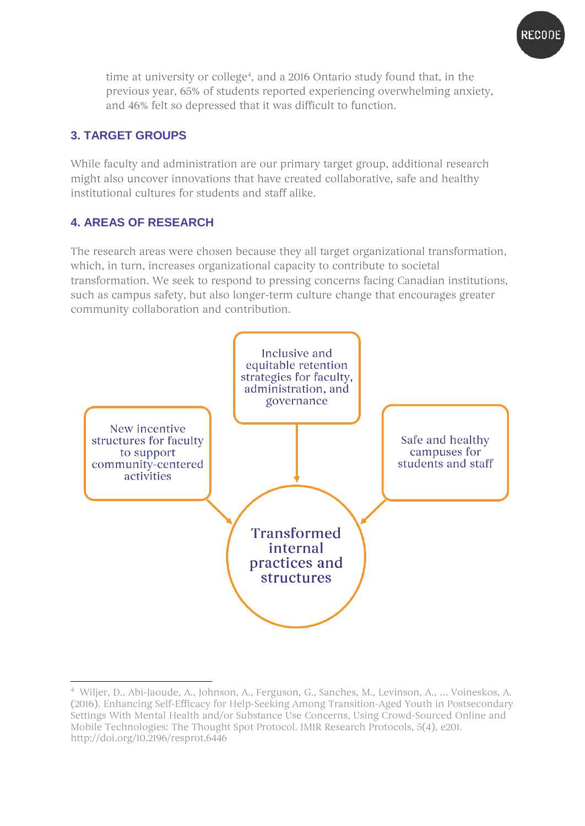

time at university or college<sup>4</sup>, and a 2016 Ontario study found that, in the previous year, 65% of students reported experiencing overwhelming anxiety, and 46% felt so depressed that it was difficult to function.

### **3. TARGET GROUPS**

While faculty and administration are our primary target group, additional research might also uncover innovations that have created collaborative, safe and healthy institutional cultures for students and staff alike.

### **4. AREAS OF RESEARCH**

The research areas were chosen because they all target organizational transformation, which, in turn, increases organizational capacity to contribute to societal transformation. We seek to respond to pressing concerns facing Canadian institutions, such as campus safety, but also longer-term culture change that encourages greater community collaboration and contribution.



<span id="page-2-0"></span><sup>-</sup>4 Wiljer, D., Abi-Jaoude, A., Johnson, A., Ferguson, G., Sanches, M., Levinson, A., … Voineskos, A. (2016). Enhancing Self-Efficacy for Help-Seeking Among Transition-Aged Youth in Postsecondary Settings With Mental Health and/or Substance Use Concerns, Using Crowd-Sourced Online and Mobile Technologies: The Thought Spot Protocol. JMIR Research Protocols, 5(4), e201. http://doi.org/10.2196/resprot.6446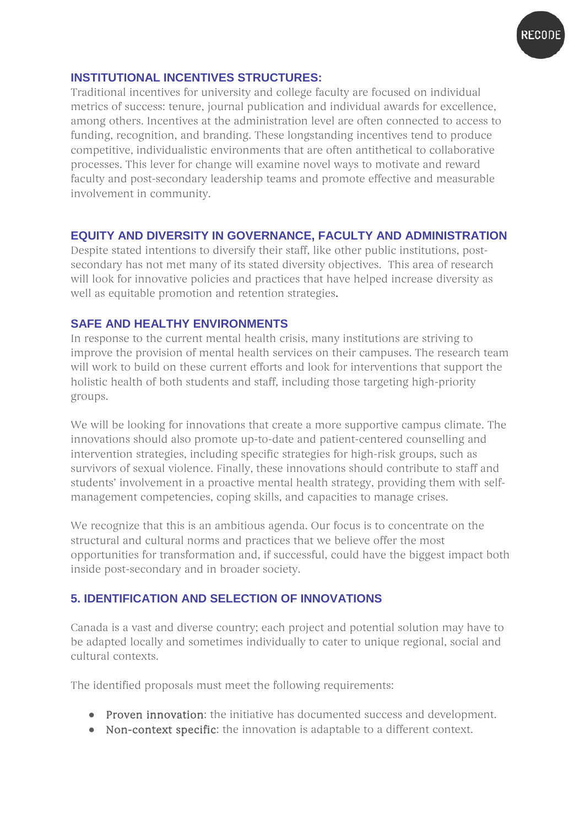

### **INSTITUTIONAL INCENTIVES STRUCTURES:**

Traditional incentives for university and college faculty are focused on individual metrics of success: tenure, journal publication and individual awards for excellence, among others. Incentives at the administration level are often connected to access to funding, recognition, and branding. These longstanding incentives tend to produce competitive, individualistic environments that are often antithetical to collaborative processes. This lever for change will examine novel ways to motivate and reward faculty and post-secondary leadership teams and promote effective and measurable involvement in community.

### **EQUITY AND DIVERSITY IN GOVERNANCE, FACULTY AND ADMINISTRATION**

Despite stated intentions to diversify their staff, like other public institutions, postsecondary has not met many of its stated diversity objectives. This area of research will look for innovative policies and practices that have helped increase diversity as well as equitable promotion and retention strategies.

#### **SAFE AND HEALTHY ENVIRONMENTS**

In response to the current mental health crisis, many institutions are striving to improve the provision of mental health services on their campuses. The research team will work to build on these current efforts and look for interventions that support the holistic health of both students and staff, including those targeting high-priority groups.

We will be looking for innovations that create a more supportive campus climate. The innovations should also promote up-to-date and patient-centered counselling and intervention strategies, including specific strategies for high-risk groups, such as survivors of sexual violence. Finally, these innovations should contribute to staff and students' involvement in a proactive mental health strategy, providing them with selfmanagement competencies, coping skills, and capacities to manage crises.

We recognize that this is an ambitious agenda. Our focus is to concentrate on the structural and cultural norms and practices that we believe offer the most opportunities for transformation and, if successful, could have the biggest impact both inside post-secondary and in broader society.

### **5. IDENTIFICATION AND SELECTION OF INNOVATIONS**

Canada is a vast and diverse country; each project and potential solution may have to be adapted locally and sometimes individually to cater to unique regional, social and cultural contexts.

The identified proposals must meet the following requirements:

- Proven innovation: the initiative has documented success and development.
- Non-context specific: the innovation is adaptable to a different context.